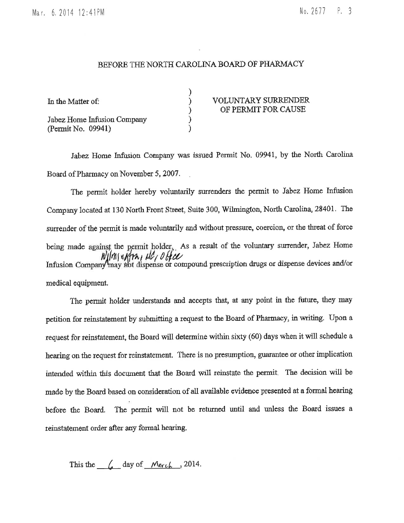No. 2677 P. 3

## BEFORE THE NORTH CAROLINA BOARD OF PHARMACY

| In the Matter of:                                 | <b>VOLUNTARY SURRENDER</b><br>OF PERMIT FOR CAUSE |
|---------------------------------------------------|---------------------------------------------------|
| Jabez Home Infusion Company<br>(Permit No. 09941) |                                                   |

Jabez Home Infusion Company was issued Permit No. 09941, by the North Carolina Board of Pharmacy on November 5, 2007.

The permit holder hereby voluntarily surrenders the permit to Jabez Home Infusion Company located at 130 North Front Street, Suite 300, Wilmington, North Carolina, 28401. The surrender of the permit is made voluntarily and without pressure, coercion, or the threat of force being made against the permit holder, As a result of the voluntary surrender, Jabez Home  $W||m||$   $W||m||$   $W||m||$   $W||m||$   $W||m||$   $W||m||$   $W||m||$   $W||m||$   $W||m||$   $W||m||$ medical equipment.

The permit holder understands and accepts that, at any point in the future, they may petition for reinstatement by submitting a request to the Board of Pharmacy, in writing. Upon a request for reinstatement, the Board will determine within sixty (60) days when it will schedule a hearing on the request for reinstatement. There is no presumption, guarantee or other implication intended within this document that the Board will reinstate the permit. The decision will be made by the Board based on consideration of all available evidence presented at a formal hearing The permit will not be returned until and unless the Board issues a before the Board. reinstatement order after any formal hearing.

This the  $\left(\right)$  day of March , 2014.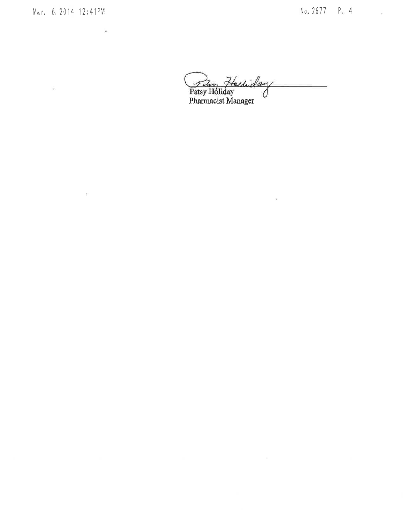Mar. 6. 2014 12:41PM

 $\mathcal{P}_{\mathcal{P}}$  . The contract of  $\mathcal{P}_{\mathcal{P}}$ 

 $\mathcal{O}(\mathcal{O}_\mathcal{O})$  . The set of  $\mathcal{O}(\mathcal{O}_\mathcal{O})$ 

 $\epsilon$ 

Peter Hechiday

 $\sim 10^{11}$  m  $^{-1}$  m  $^{-1}$  m  $^{-1}$  m  $^{-1}$